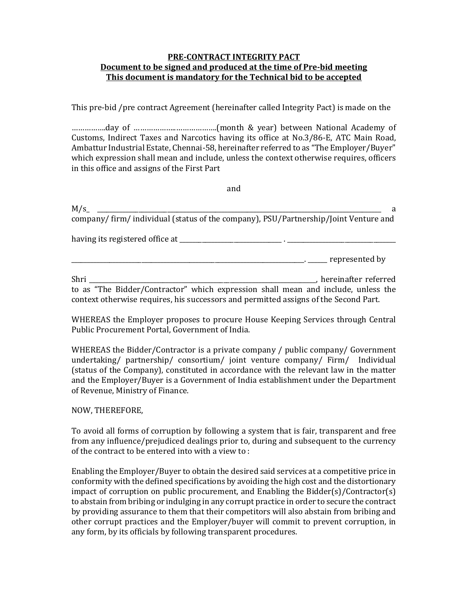## PRE-CONTRACT INTEGRITY PACT Document to be signed and produced at the time of Pre-bid meeting This document is mandatory for the Technical bid to be accepted

This pre-bid /pre contract Agreement (hereinafter called Integrity Pact) is made on the

…………….day of ………………..……………….(month & year) between National Academy of Customs, Indirect Taxes and Narcotics having its office at No.3/86-E, ATC Main Road, Ambattur Industrial Estate, Chennai-58, hereinafter referred to as "The Employer/Buyer" which expression shall mean and include, unless the context otherwise requires, officers in this office and assigns of the First Part

and

|                                                                                                                                                                           | a                                                                 |
|---------------------------------------------------------------------------------------------------------------------------------------------------------------------------|-------------------------------------------------------------------|
| company/firm/individual (status of the company), PSU/Partnership/Joint Venture and                                                                                        |                                                                   |
|                                                                                                                                                                           | having its registered office at ________________________________. |
|                                                                                                                                                                           | <u>Example 20</u> represented by                                  |
| Shri                                                                                                                                                                      | matter referred                                                   |
| to as "The Bidder/Contractor" which expression shall mean and include, unless the<br>context otherwise requires, his successors and permitted assigns of the Second Part. |                                                                   |

WHEREAS the Employer proposes to procure House Keeping Services through Central Public Procurement Portal, Government of India.

WHEREAS the Bidder/Contractor is a private company / public company/ Government undertaking/ partnership/ consortium/ joint venture company/ Firm/ Individual (status of the Company), constituted in accordance with the relevant law in the matter and the Employer/Buyer is a Government of India establishment under the Department of Revenue, Ministry of Finance.

## NOW, THEREFORE,

To avoid all forms of corruption by following a system that is fair, transparent and free from any influence/prejudiced dealings prior to, during and subsequent to the currency of the contract to be entered into with a view to :

Enabling the Employer/Buyer to obtain the desired said services at a competitive price in conformity with the defined specifications by avoiding the high cost and the distortionary impact of corruption on public procurement, and Enabling the Bidder(s)/Contractor(s) to abstain from bribing or indulging in any corrupt practice in order to secure the contract by providing assurance to them that their competitors will also abstain from bribing and other corrupt practices and the Employer/buyer will commit to prevent corruption, in any form, by its officials by following transparent procedures.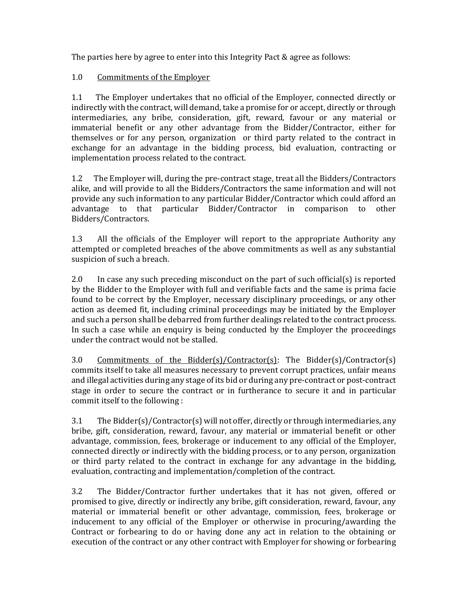The parties here by agree to enter into this Integrity Pact & agree as follows:

## 1.0 Commitments of the Employer

1.1 The Employer undertakes that no official of the Employer, connected directly or indirectly with the contract, will demand, take a promise for or accept, directly or through intermediaries, any bribe, consideration, gift, reward, favour or any material or immaterial benefit or any other advantage from the Bidder/Contractor, either for themselves or for any person, organization or third party related to the contract in exchange for an advantage in the bidding process, bid evaluation, contracting or implementation process related to the contract.

1.2 The Employer will, during the pre-contract stage, treat all the Bidders/Contractors alike, and will provide to all the Bidders/Contractors the same information and will not provide any such information to any particular Bidder/Contractor which could afford an advantage to that particular Bidder/Contractor in comparison to other Bidders/Contractors.

1.3 All the officials of the Employer will report to the appropriate Authority any attempted or completed breaches of the above commitments as well as any substantial suspicion of such a breach.

2.0 In case any such preceding misconduct on the part of such official(s) is reported by the Bidder to the Employer with full and verifiable facts and the same is prima facie found to be correct by the Employer, necessary disciplinary proceedings, or any other action as deemed fit, including criminal proceedings may be initiated by the Employer and such a person shall be debarred from further dealings related to the contract process. In such a case while an enquiry is being conducted by the Employer the proceedings under the contract would not be stalled.

3.0 Commitments of the Bidder(s)/Contractor(s): The Bidder(s)/Contractor(s) commits itself to take all measures necessary to prevent corrupt practices, unfair means and illegal activities during any stage of its bid or during any pre-contract or post-contract stage in order to secure the contract or in furtherance to secure it and in particular commit itself to the following :

3.1 The Bidder(s)/Contractor(s) will not offer, directly or through intermediaries, any bribe, gift, consideration, reward, favour, any material or immaterial benefit or other advantage, commission, fees, brokerage or inducement to any official of the Employer, connected directly or indirectly with the bidding process, or to any person, organization or third party related to the contract in exchange for any advantage in the bidding, evaluation, contracting and implementation/completion of the contract.

3.2 The Bidder/Contractor further undertakes that it has not given, offered or promised to give, directly or indirectly any bribe, gift consideration, reward, favour, any material or immaterial benefit or other advantage, commission, fees, brokerage or inducement to any official of the Employer or otherwise in procuring/awarding the Contract or forbearing to do or having done any act in relation to the obtaining or execution of the contract or any other contract with Employer for showing or forbearing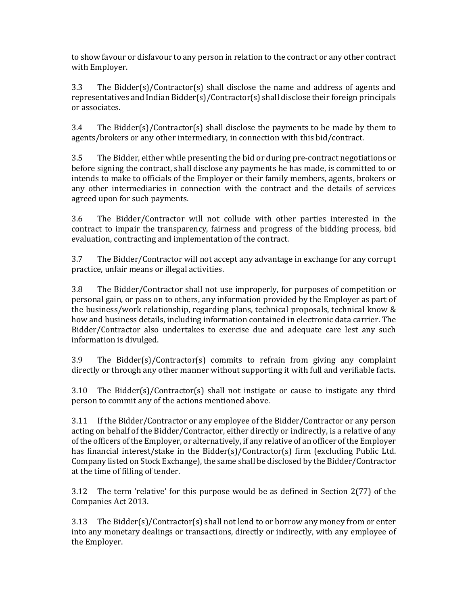to show favour or disfavour to any person in relation to the contract or any other contract with Employer.

3.3 The Bidder(s)/Contractor(s) shall disclose the name and address of agents and representatives and Indian Bidder(s)/Contractor(s) shall disclose their foreign principals or associates.

3.4 The Bidder(s)/Contractor(s) shall disclose the payments to be made by them to agents/brokers or any other intermediary, in connection with this bid/contract.

3.5 The Bidder, either while presenting the bid or during pre-contract negotiations or before signing the contract, shall disclose any payments he has made, is committed to or intends to make to officials of the Employer or their family members, agents, brokers or any other intermediaries in connection with the contract and the details of services agreed upon for such payments.

3.6 The Bidder/Contractor will not collude with other parties interested in the contract to impair the transparency, fairness and progress of the bidding process, bid evaluation, contracting and implementation of the contract.

3.7 The Bidder/Contractor will not accept any advantage in exchange for any corrupt practice, unfair means or illegal activities.

3.8 The Bidder/Contractor shall not use improperly, for purposes of competition or personal gain, or pass on to others, any information provided by the Employer as part of the business/work relationship, regarding plans, technical proposals, technical know & how and business details, including information contained in electronic data carrier. The Bidder/Contractor also undertakes to exercise due and adequate care lest any such information is divulged.

3.9 The Bidder(s)/Contractor(s) commits to refrain from giving any complaint directly or through any other manner without supporting it with full and verifiable facts.

3.10 The Bidder(s)/Contractor(s) shall not instigate or cause to instigate any third person to commit any of the actions mentioned above.

3.11 If the Bidder/Contractor or any employee of the Bidder/Contractor or any person acting on behalf of the Bidder/Contractor, either directly or indirectly, is a relative of any of the officers of the Employer, or alternatively, if any relative of an officer of the Employer has financial interest/stake in the Bidder(s)/Contractor(s) firm (excluding Public Ltd. Company listed on Stock Exchange), the same shall be disclosed by the Bidder/Contractor at the time of filling of tender.

3.12 The term 'relative' for this purpose would be as defined in Section 2(77) of the Companies Act 2013.

3.13 The Bidder(s)/Contractor(s) shall not lend to or borrow any money from or enter into any monetary dealings or transactions, directly or indirectly, with any employee of the Employer.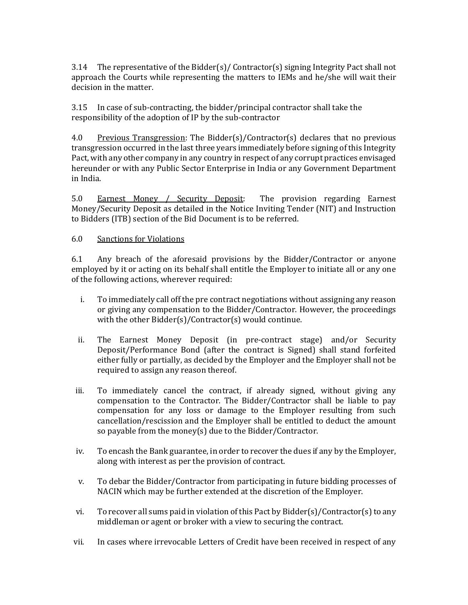3.14 The representative of the Bidder(s)/ Contractor(s) signing Integrity Pact shall not approach the Courts while representing the matters to IEMs and he/she will wait their decision in the matter.

3.15 In case of sub-contracting, the bidder/principal contractor shall take the responsibility of the adoption of IP by the sub-contractor

4.0 Previous Transgression: The Bidder(s)/Contractor(s) declares that no previous transgression occurred in the last three years immediately before signing of this Integrity Pact, with any other company in any country in respect of any corrupt practices envisaged hereunder or with any Public Sector Enterprise in India or any Government Department in India.

5.0 Earnest Money / Security Deposit: The provision regarding Earnest Money/Security Deposit as detailed in the Notice Inviting Tender (NIT) and Instruction to Bidders (ITB) section of the Bid Document is to be referred.

## 6.0 Sanctions for Violations

6.1 Any breach of the aforesaid provisions by the Bidder/Contractor or anyone employed by it or acting on its behalf shall entitle the Employer to initiate all or any one of the following actions, wherever required:

- i. To immediately call off the pre contract negotiations without assigning any reason or giving any compensation to the Bidder/Contractor. However, the proceedings with the other Bidder(s)/Contractor(s) would continue.
- ii. The Earnest Money Deposit (in pre-contract stage) and/or Security Deposit/Performance Bond (after the contract is Signed) shall stand forfeited either fully or partially, as decided by the Employer and the Employer shall not be required to assign any reason thereof.
- iii. To immediately cancel the contract, if already signed, without giving any compensation to the Contractor. The Bidder/Contractor shall be liable to pay compensation for any loss or damage to the Employer resulting from such cancellation/rescission and the Employer shall be entitled to deduct the amount so payable from the money(s) due to the Bidder/Contractor.
- iv. To encash the Bank guarantee, in order to recover the dues if any by the Employer, along with interest as per the provision of contract.
- v. To debar the Bidder/Contractor from participating in future bidding processes of NACIN which may be further extended at the discretion of the Employer.
- vi. To recover all sums paid in violation of this Pact by Bidder(s)/Contractor(s) to any middleman or agent or broker with a view to securing the contract.
- vii. In cases where irrevocable Letters of Credit have been received in respect of any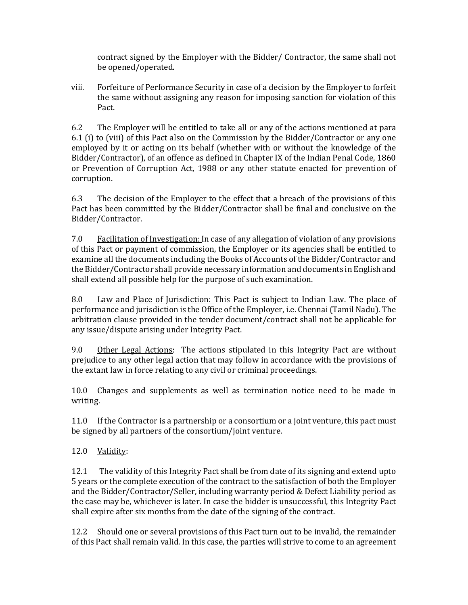contract signed by the Employer with the Bidder/ Contractor, the same shall not be opened/operated.

viii. Forfeiture of Performance Security in case of a decision by the Employer to forfeit the same without assigning any reason for imposing sanction for violation of this Pact.

6.2 The Employer will be entitled to take all or any of the actions mentioned at para 6.1 (i) to (viii) of this Pact also on the Commission by the Bidder/Contractor or any one employed by it or acting on its behalf (whether with or without the knowledge of the Bidder/Contractor), of an offence as defined in Chapter IX of the Indian Penal Code, 1860 or Prevention of Corruption Act, 1988 or any other statute enacted for prevention of corruption.

6.3 The decision of the Employer to the effect that a breach of the provisions of this Pact has been committed by the Bidder/Contractor shall be final and conclusive on the Bidder/Contractor.

7.0 Facilitation of Investigation: In case of any allegation of violation of any provisions of this Pact or payment of commission, the Employer or its agencies shall be entitled to examine all the documents including the Books of Accounts of the Bidder/Contractor and the Bidder/Contractor shall provide necessary information and documents in English and shall extend all possible help for the purpose of such examination.

8.0 Law and Place of Jurisdiction: This Pact is subject to Indian Law. The place of performance and jurisdiction is the Office of the Employer, i.e. Chennai (Tamil Nadu). The arbitration clause provided in the tender document/contract shall not be applicable for any issue/dispute arising under Integrity Pact.

9.0 Other Legal Actions: The actions stipulated in this Integrity Pact are without prejudice to any other legal action that may follow in accordance with the provisions of the extant law in force relating to any civil or criminal proceedings.

10.0 Changes and supplements as well as termination notice need to be made in writing.

11.0 If the Contractor is a partnership or a consortium or a joint venture, this pact must be signed by all partners of the consortium/joint venture.

12.0 Validity:

12.1 The validity of this Integrity Pact shall be from date of its signing and extend upto 5 years or the complete execution of the contract to the satisfaction of both the Employer and the Bidder/Contractor/Seller, including warranty period & Defect Liability period as the case may be, whichever is later. In case the bidder is unsuccessful, this Integrity Pact shall expire after six months from the date of the signing of the contract.

12.2 Should one or several provisions of this Pact turn out to be invalid, the remainder of this Pact shall remain valid. In this case, the parties will strive to come to an agreement